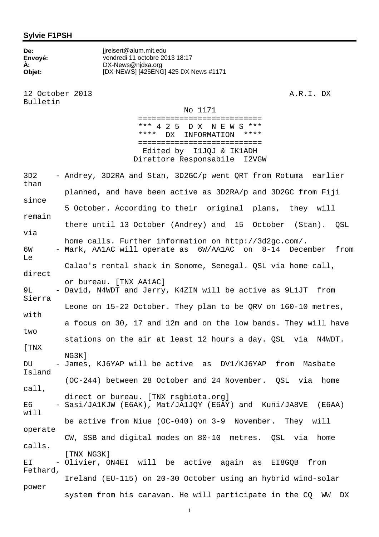## **Sylvie F1PSH**

| De:     | jireisert@alum.mit.edu               |
|---------|--------------------------------------|
| Envoyé: | vendredi 11 octobre 2013 18:17       |
| À.      | DX-News@njdxa.org                    |
| Objet:  | [DX-NEWS] [425ENG] 425 DX News #1171 |
|         |                                      |

12 October 2013 A.R.I. DX Bulletin

No 1171

 =========================== \*\*\* 4 2 5 D X N E W S \*\*\* \*\*\*\* DX INFORMATION \*\*\*\* =========================== Edited by I1JQJ & IK1ADH Direttore Responsabile I2VGW

3D2 - Andrey, 3D2RA and Stan, 3D2GC/p went QRT from Rotuma earlier than planned, and have been active as 3D2RA/p and 3D2GC from Fiji since 5 October. According to their original plans, they will remain there until 13 October (Andrey) and 15 October (Stan). QSL via home calls. Further information on http://3d2gc.com/. 6W - Mark, AA1AC will operate as 6W/AA1AC on 8-14 December from Le Calao's rental shack in Sonome, Senegal. QSL via home call, direct or bureau. [TNX AA1AC] 9L - David, N4WDT and Jerry, K4ZIN will be active as 9L1JT from Sierra Leone on 15-22 October. They plan to be QRV on 160-10 metres, with a focus on 30, 17 and 12m and on the low bands. They will have two stations on the air at least 12 hours a day. QSL via N4WDT. [TNX NG3K] DU - James, KJ6YAP will be active as DV1/KJ6YAP from Masbate Island (OC-244) between 28 October and 24 November. QSL via home call, direct or bureau. [TNX rsgbiota.org] E6 - Sasi/JA1KJW (E6AK), Mat/JA1JQY (E6AY) and Kuni/JA8VE (E6AA) will be active from Niue (OC-040) on 3-9 November. They will operate CW, SSB and digital modes on 80-10 metres. QSL via home calls. [TNX NG3K] EI - Olivier, ON4EI will be active again as EI8GQB from Fethard, Ireland (EU-115) on 20-30 October using an hybrid wind-solar power system from his caravan. He will participate in the CQ WW DX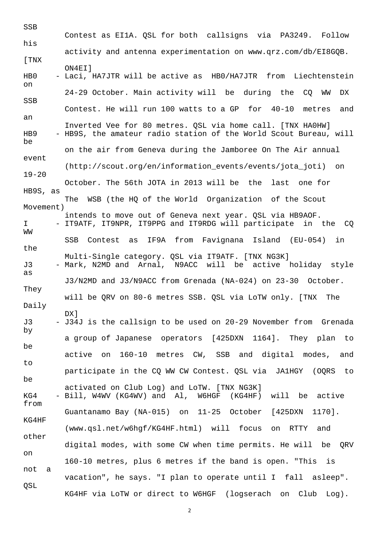SSB Contest as EI1A. QSL for both callsigns via PA3249. Follow his activity and antenna experimentation on www.qrz.com/db/EI8GQB. [TNX ON4EI] HB0 - Laci, HA7JTR will be active as HB0/HA7JTR from Liechtenstein on 24-29 October. Main activity will be during the CQ WW DX SSB Contest. He will run 100 watts to a GP for 40-10 metres and an Inverted Vee for 80 metres. QSL via home call. [TNX HA0HW] HB9 - HB9S, the amateur radio station of the World Scout Bureau, will be on the air from Geneva during the Jamboree On The Air annual event (http://scout.org/en/information\_events/events/jota\_joti) on 19-20 October. The 56th JOTA in 2013 will be the last one for HB9S, as The WSB (the HQ of the World Organization of the Scout Movement) intends to move out of Geneva next year. QSL via HB9AOF. I - IT9ATF, IT9NPR, IT9PPG and IT9RDG will participate in the CQ WW SSB Contest as IF9A from Favignana Island (EU-054) in the Multi-Single category. QSL via IT9ATF. [TNX NG3K] J3 - Mark, N2MD and Arnal, N9ACC will be active holiday style as J3/N2MD and J3/N9ACC from Grenada (NA-024) on 23-30 October. They will be QRV on 80-6 metres SSB. QSL via LoTW only. [TNX The Daily nx1 J3 - J34J is the callsign to be used on 20-29 November from Grenada by a group of Japanese operators [425DXN 1164]. They plan to be active on 160-10 metres CW, SSB and digital modes, and to participate in the CQ WW CW Contest. QSL via JA1HGY (OQRS to be activated on Club Log) and LoTW. [TNX NG3K] KG4 - Bill, W4WV (KG4WV) and Al, W6HGF (KG4HF) will be active from Guantanamo Bay (NA-015) on 11-25 October [425DXN 1170]. KG4HF (www.qsl.net/w6hgf/KG4HF.html) will focus on RTTY and other digital modes, with some CW when time permits. He will be QRV on 160-10 metres, plus 6 metres if the band is open. "This is not a vacation", he says. "I plan to operate until I fall asleep". QSL KG4HF via LoTW or direct to W6HGF (logserach on Club Log).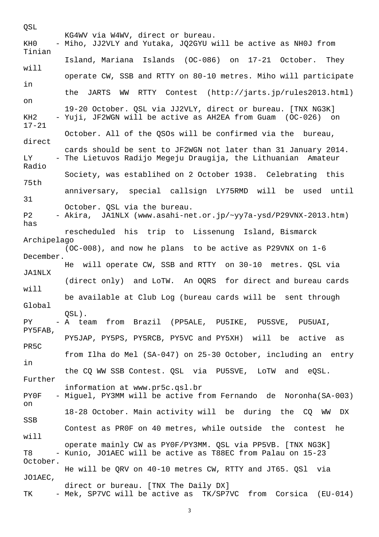QSL KG4WV via W4WV, direct or bureau. KH0 - Miho, JJ2VLY and Yutaka, JQ2GYU will be active as NH0J from Tinian Island, Mariana Islands (OC-086) on 17-21 October. They will operate CW, SSB and RTTY on 80-10 metres. Miho will participate in the JARTS WW RTTY Contest (http://jarts.jp/rules2013.html) on 19-20 October. QSL via JJ2VLY, direct or bureau. [TNX NG3K] KH2 - Yuji, JF2WGN will be active as AH2EA from Guam (OC-026) on 17-21 October. All of the QSOs will be confirmed via the bureau, direct cards should be sent to JF2WGN not later than 31 January 2014. LY - The Lietuvos Radijo Megeju Draugija, the Lithuanian Amateur Radio Society, was establihed on 2 October 1938. Celebrating this 75th anniversary, special callsign LY75RMD will be used until 31 October. QSL via the bureau. P2 - Akira, JA1NLX (www.asahi-net.or.jp/~yy7a-ysd/P29VNX-2013.htm) has rescheduled his trip to Lissenung Island, Bismarck Archipelago (OC-008), and now he plans to be active as P29VNX on 1-6 December. He will operate CW, SSB and RTTY on 30-10 metres. QSL via JA1NLX (direct only) and LoTW. An OQRS for direct and bureau cards will be available at Club Log (bureau cards will be sent through Global QSL). PY - A team from Brazil (PP5ALE, PU5IKE, PU5SVE, PU5UAI, PY5FAB, PY5JAP, PY5PS, PY5RCB, PY5VC and PY5XH) will be active as PR5C from Ilha do Mel (SA-047) on 25-30 October, including an entry in the CQ WW SSB Contest. QSL via PU5SVE, LoTW and eQSL. Further information at www.pr5c.qsl.br PY0F - Miguel, PY3MM will be active from Fernando de Noronha(SA-003) on 18-28 October. Main activity will be during the CQ WW DX SSB Contest as PR0F on 40 metres, while outside the contest he will operate mainly CW as PY0F/PY3MM. QSL via PP5VB. [TNX NG3K] T8 - Kunio, JO1AEC will be active as T88EC from Palau on 15-23 October. He will be QRV on 40-10 metres CW, RTTY and JT65. QSl via JO1AEC, direct or bureau. [TNX The Daily DX] TK - Mek, SP7VC will be active as TK/SP7VC from Corsica (EU-014)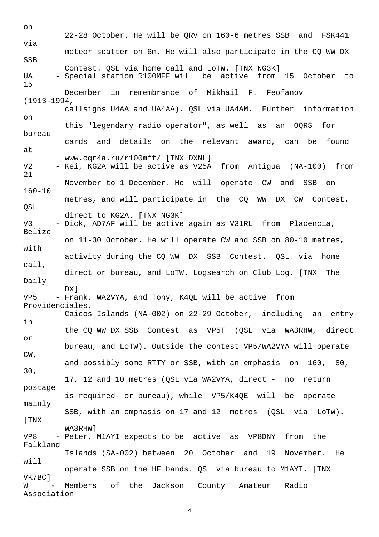on 22-28 October. He will be QRV on 160-6 metres SSB and FSK441 via meteor scatter on 6m. He will also participate in the CQ WW DX SSB Contest. QSL via home call and LoTW. [TNX NG3K] UA - Special station R100MFF will be active from 15 October to 15 December in remembrance of Mikhail F. Feofanov (1913-1994, callsigns U4AA and UA4AA). QSL via UA4AM. Further information on this "legendary radio operator", as well as an OQRS for bureau cards and details on the relevant award, can be found at www.cqr4a.ru/r100mff/ [TNX DXNL] V2 - Kei, KG2A will be active as V25A from Antigua (NA-100) from 21 November to 1 December. He will operate CW and SSB on 160-10 metres, and will participate in the CQ WW DX CW Contest. QSL direct to KG2A. [TNX NG3K] V3 - Dick, AD7AF will be active again as V31RL from Placencia, Belize on 11-30 October. He will operate CW and SSB on 80-10 metres, with activity during the CQ WW DX SSB Contest. QSL via home call, direct or bureau, and LoTW. Logsearch on Club Log. [TNX The Daily DX] VP5 - Frank, WA2VYA, and Tony, K4QE will be active from Providenciales, Caicos Islands (NA-002) on 22-29 October, including an entry in the CQ WW DX SSB Contest as VP5T (QSL via WA3RHW, direct or bureau, and LoTW). Outside the contest VP5/WA2VYA will operate CW, and possibly some RTTY or SSB, with an emphasis on 160, 80, 30, 17, 12 and 10 metres (QSL via WA2VYA, direct - no return postage is required- or bureau), while VP5/K4QE will be operate mainly SSB, with an emphasis on 17 and 12 metres (QSL via LoTW). [TNX WA3RHW] VP8 - Peter, M1AYI expects to be active as VP8DNY from the Falkland Islands (SA-002) between 20 October and 19 November. He will operate SSB on the HF bands. QSL via bureau to M1AYI. [TNX VK7BC] W - Members of the Jackson County Amateur Radio Association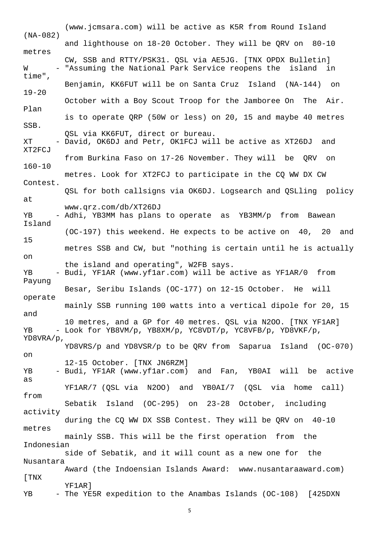(www.jcmsara.com) will be active as K5R from Round Island (NA-082) and lighthouse on 18-20 October. They will be QRV on 80-10 metres CW, SSB and RTTY/PSK31. QSL via AE5JG. [TNX OPDX Bulletin] W - "Assuming the National Park Service reopens the island in time", Benjamin, KK6FUT will be on Santa Cruz Island (NA-144) on 19-20 October with a Boy Scout Troop for the Jamboree On The Air. Plan is to operate QRP (50W or less) on 20, 15 and maybe 40 metres SSB. QSL via KK6FUT, direct or bureau. XT - David, OK6DJ and Petr, OK1FCJ will be active as XT26DJ and XT2FCJ from Burkina Faso on 17-26 November. They will be QRV on 160-10 metres. Look for XT2FCJ to participate in the CQ WW DX CW Contest. QSL for both callsigns via OK6DJ. Logsearch and QSLling policy at www.qrz.com/db/XT26DJ YB - Adhi, YB3MM has plans to operate as YB3MM/p from Bawean Island (OC-197) this weekend. He expects to be active on 40, 20 and 15 metres SSB and CW, but "nothing is certain until he is actually on the island and operating", W2FB says. YB - Budi, YF1AR (www.yf1ar.com) will be active as YF1AR/0 from Payung Besar, Seribu Islands (OC-177) on 12-15 October. He will operate mainly SSB running 100 watts into a vertical dipole for 20, 15 and 10 metres, and a GP for 40 metres. QSL via N2OO. [TNX YF1AR] YB - Look for YB8VM/p, YB8XM/p, YC8VDT/p, YC8VFB/p, YD8VKF/p, YD8VRA/p, YD8VRS/p and YD8VSR/p to be QRV from Saparua Island (OC-070) on 12-15 October. [TNX JN6RZM] YB - Budi, YF1AR (www.yf1ar.com) and Fan, YB0AI will be active as YF1AR/7 (QSL via N2OO) and YB0AI/7 (QSL via home call) from Sebatik Island (OC-295) on 23-28 October, including activity during the CQ WW DX SSB Contest. They will be QRV on 40-10 metres mainly SSB. This will be the first operation from the Indonesian side of Sebatik, and it will count as a new one for the Nusantara Award (the Indoensian Islands Award: www.nusantaraaward.com) [TNX YF1AR] YB - The YE5R expedition to the Anambas Islands (OC-108) [425DXN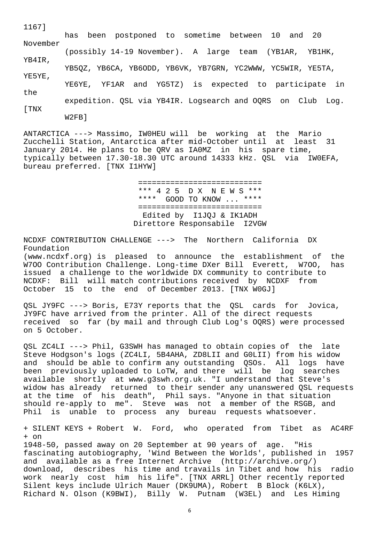| <b>LLV/I</b>     | has been postponed to sometime between 10 and 20            |
|------------------|-------------------------------------------------------------|
| November         | (possibly 14-19 November). A large team (YB1AR, YB1HK,      |
| YB4IR,<br>YE5YE, | YB5OZ, YB6CA, YB6ODD, YB6VK, YB7GRN, YC2WWW, YC5WIR, YE5TA, |
| the              | YE6YE, YF1AR and YG5TZ) is expected to participate in       |
| [ TNX            | expedition. QSL via YB4IR. Logsearch and OQRS on Club Log.  |
|                  | $W2FB$ ]                                                    |

1167]

ANTARCTICA ---> Massimo, IW0HEU will be working at the Mario Zucchelli Station, Antarctica after mid-October until at least 31 January 2014. He plans to be QRV as IA0MZ in his spare time, typically between 17.30-18.30 UTC around 14333 kHz. QSL via IW0EFA, bureau preferred. [TNX I1HYW]

> =========================== \*\*\* 4 2 5 D X N E W S \*\*\* \*\*\*\* GOOD TO KNOW ... \*\*\*\* =========================== Edited by I1JQJ & IK1ADH Direttore Responsabile I2VGW

NCDXF CONTRIBUTION CHALLENGE ---> The Northern California DX Foundation

(www.ncdxf.org) is pleased to announce the establishment of the W7OO Contribution Challenge. Long-time DXer Bill Everett, W7OO, has issued a challenge to the worldwide DX community to contribute to NCDXF: Bill will match contributions received by NCDXF from October 15 to the end of December 2013. [TNX W0GJ]

QSL JY9FC ---> Boris, E73Y reports that the QSL cards for Jovica, JY9FC have arrived from the printer. All of the direct requests received so far (by mail and through Club Log's OQRS) were processed on 5 October.

QSL ZC4LI ---> Phil, G3SWH has managed to obtain copies of the late Steve Hodgson's logs (ZC4LI, 5B4AHA, ZD8LII and G0LII) from his widow and should be able to confirm any outstanding QSOs. All logs have been previously uploaded to LoTW, and there will be log searches available shortly at www.g3swh.org.uk. "I understand that Steve's widow has already returned to their sender any unanswered QSL requests at the time of his death", Phil says. "Anyone in that situation should re-apply to me". Steve was not a member of the RSGB, and Phil is unable to process any bureau requests whatsoever.

+ SILENT KEYS + Robert W. Ford, who operated from Tibet as AC4RF  $+$  on

1948-50, passed away on 20 September at 90 years of age. "His fascinating autobiography, 'Wind Between the Worlds', published in 1957 and available as a free Internet Archive (http://archive.org/) download, describes his time and travails in Tibet and how his radio work nearly cost him his life". [TNX ARRL] Other recently reported Silent keys include Ulrich Mauer (DK9UMA), Robert B Block (K6LX), Richard N. Olson (K9BWI), Billy W. Putnam (W3EL) and Les Himing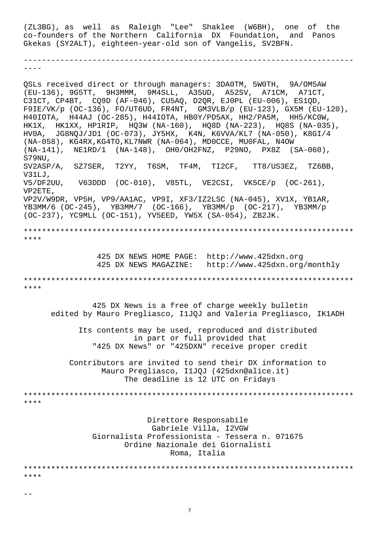(ZL3BG), as well as Raleigh "Lee" Shaklee (W6BH), one of the co-founders of the Northern California DX Foundation, and Panos Gkekas (SY2ALT), eighteen-year-old son of Vangelis, SV2BFN.

------------------------------------------------------------------------ ----

QSLs received direct or through managers: 3DA0TM, 5W0TH, 9A/OM5AW (EU-136), 9G5TT, 9H3MMM, 9M4SLL, A35UD, A52SV, A71CM, A71CT, C31CT, CP4BT, CQ9D (AF-046), CU5AQ, D2QR, EJ0PL (EU-006), ES1QD, F9IE/VK/p (OC-136), FO/UT6UD, FR4NT, GM3VLB/p (EU-123), GX5M (EU-120), H40IOTA, H44AJ (OC-285), H44IOTA, HB0Y/PD5AX, HH2/PA5M, HH5/KC0W, HK1X, HK1XX, HP1RIP, HQ3W (NA-160), HQ8D (NA-223), HQ8S (NA-035), HV0A, JG8NQJ/JD1 (OC-073), JY5HX, K4N, K6VVA/KL7 (NA-050), K8GI/4 (NA-058), KG4RX,KG4TO,KL7NWR (NA-064), MD0CCE, MU0FAL, N4OW (NA-141), NE1RD/1 (NA-148), OH0/OH2FNZ, P29NO, PX8Z (SA-060), S79NU, SV2ASP/A, SZ7SER, T2YY, T6SM, TF4M, TI2CF, TT8/US3EZ, TZ6BB, V31LJ, V5/DF2UU, V63DDD (OC-010), V85TL, VE2CSI, VK5CE/p (OC-261), VP2ETE, VP2V/W9DR, VP5H, VP9/AA1AC, VP9I, XF3/IZ2LSC (NA-045), XV1X, YB1AR, YB3MM/6 (OC-245), YB3MM/7 (OC-166), YB3MM/p (OC-217), YB3MM/p (OC-237), YC9MLL (OC-151), YV5EED, YW5X (SA-054), ZB2JK. \*\*\*\*\*\*\*\*\*\*\*\*\*\*\*\*\*\*\*\*\*\*\*\*\*\*\*\*\*\*\*\*\*\*\*\*\*\*\*\*\*\*\*\*\*\*\*\*\*\*\*\*\*\*\*\*\*\*\*\*\*\*\*\*\*\*\*\*\*\*\*\* \*\*\*\* 425 DX NEWS HOME PAGE: http://www.425dxn.org 425 DX NEWS MAGAZINE: http://www.425dxn.org/monthly \*\*\*\*\*\*\*\*\*\*\*\*\*\*\*\*\*\*\*\*\*\*\*\*\*\*\*\*\*\*\*\*\*\*\*\*\*\*\*\*\*\*\*\*\*\*\*\*\*\*\*\*\*\*\*\*\*\*\*\*\*\*\*\*\*\*\*\*\*\*\*\* \*\*\*\* 425 DX News is a free of charge weekly bulletin edited by Mauro Pregliasco, I1JQJ and Valeria Pregliasco, IK1ADH Its contents may be used, reproduced and distributed in part or full provided that "425 DX News" or "425DXN" receive proper credit Contributors are invited to send their DX information to Mauro Pregliasco, I1JQJ (425dxn@alice.it) The deadline is 12 UTC on Fridays \*\*\*\*\*\*\*\*\*\*\*\*\*\*\*\*\*\*\*\*\*\*\*\*\*\*\*\*\*\*\*\*\*\*\*\*\*\*\*\*\*\*\*\*\*\*\*\*\*\*\*\*\*\*\*\*\*\*\*\*\*\*\*\*\*\*\*\*\*\*\*\* \*\*\*\* Direttore Responsabile Gabriele Villa, I2VGW Giornalista Professionista - Tessera n. 071675 Ordine Nazionale dei Giornalisti Roma, Italia \*\*\*\*\*\*\*\*\*\*\*\*\*\*\*\*\*\*\*\*\*\*\*\*\*\*\*\*\*\*\*\*\*\*\*\*\*\*\*\*\*\*\*\*\*\*\*\*\*\*\*\*\*\*\*\*\*\*\*\*\*\*\*\*\*\*\*\*\*\*\*\* \*\*\*\*

--